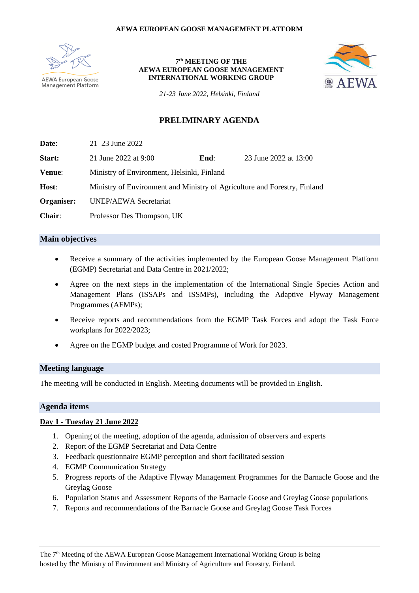

#### **7 th MEETING OF THE AEWA EUROPEAN GOOSE MANAGEMENT INTERNATIONAL WORKING GROUP**



*21-23 June 2022, Helsinki, Finland*

## **PRELIMINARY AGENDA**

**Date**: 21–23 June 2022 **Start:** 21 June 2022 at 9:00 **End**: 23 June 2022 at 13:00 **Venue**: Ministry of Environment, Helsinki, Finland **Host**: Ministry of Environment and Ministry of Agriculture and Forestry, Finland **Organiser:** UNEP/AEWA Secretariat **Chair**: Professor Des Thompson, UK

### **Main objectives**

- Receive a summary of the activities implemented by the European Goose Management Platform (EGMP) Secretariat and Data Centre in 2021/2022;
- Agree on the next steps in the implementation of the International Single Species Action and Management Plans (ISSAPs and ISSMPs), including the Adaptive Flyway Management Programmes (AFMPs);
- Receive reports and recommendations from the EGMP Task Forces and adopt the Task Force workplans for 2022/2023;
- Agree on the EGMP budget and costed Programme of Work for 2023.

### **Meeting language**

The meeting will be conducted in English. Meeting documents will be provided in English.

### **Agenda items**

### **Day 1 - Tuesday 21 June 2022**

- 1. Opening of the meeting, adoption of the agenda, admission of observers and experts
- 2. Report of the EGMP Secretariat and Data Centre
- 3. Feedback questionnaire EGMP perception and short facilitated session
- 4. EGMP Communication Strategy
- 5. Progress reports of the Adaptive Flyway Management Programmes for the Barnacle Goose and the Greylag Goose
- 6. Population Status and Assessment Reports of the Barnacle Goose and Greylag Goose populations
- 7. Reports and recommendations of the Barnacle Goose and Greylag Goose Task Forces